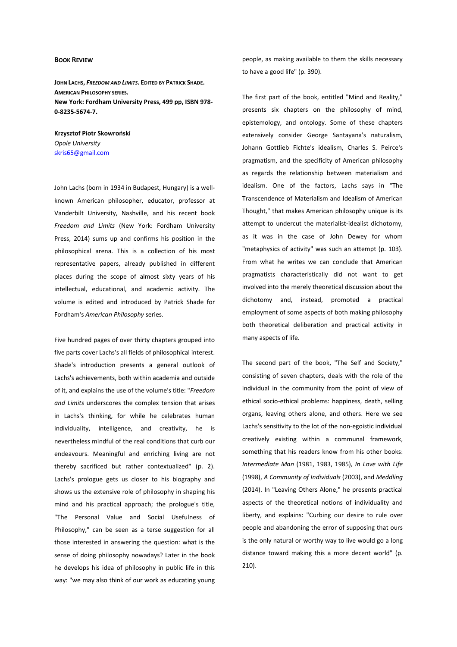## **BOOK REVIEW**

**JOHN LACHS,** *FREEDOM AND LIMITS***. EDITED BY PATRICK SHADE. AMERICAN PHILOSOPHY SERIES. New York: Fordham University Press, 499 pp, ISBN 978- 0-8235-5674-7.** 

**Krzysztof Piotr Skowroński**  *Opole University*  skris65@gmail.com

John Lachs (born in 1934 in Budapest, Hungary) is a wellknown American philosopher, educator, professor at Vanderbilt University, Nashville, and his recent book *Freedom and Limits* (New York: Fordham University Press, 2014) sums up and confirms his position in the philosophical arena. This is a collection of his most representative papers, already published in different places during the scope of almost sixty years of his intellectual, educational, and academic activity. The volume is edited and introduced by Patrick Shade for Fordham's *American Philosophy* series.

Five hundred pages of over thirty chapters grouped into five parts cover Lachs's all fields of philosophical interest. Shade's introduction presents a general outlook of Lachs's achievements, both within academia and outside of it, and explains the use of the volume's title: "*Freedom and Limits* underscores the complex tension that arises in Lachs's thinking, for while he celebrates human individuality, intelligence, and creativity, he is nevertheless mindful of the real conditions that curb our endeavours. Meaningful and enriching living are not thereby sacrificed but rather contextualized" (p. 2). Lachs's prologue gets us closer to his biography and shows us the extensive role of philosophy in shaping his mind and his practical approach; the prologue's title, "The Personal Value and Social Usefulness of Philosophy," can be seen as a terse suggestion for all those interested in answering the question: what is the sense of doing philosophy nowadays? Later in the book he develops his idea of philosophy in public life in this way: "we may also think of our work as educating young people, as making available to them the skills necessary to have a good life" (p. 390).

The first part of the book, entitled "Mind and Reality," presents six chapters on the philosophy of mind, epistemology, and ontology. Some of these chapters extensively consider George Santayana's naturalism, Johann Gottlieb Fichte's idealism, Charles S. Peirce's pragmatism, and the specificity of American philosophy as regards the relationship between materialism and idealism. One of the factors, Lachs says in "The Transcendence of Materialism and Idealism of American Thought," that makes American philosophy unique is its attempt to undercut the materialist-idealist dichotomy, as it was in the case of John Dewey for whom "metaphysics of activity" was such an attempt (p. 103). From what he writes we can conclude that American pragmatists characteristically did not want to get involved into the merely theoretical discussion about the dichotomy and, instead, promoted a practical employment of some aspects of both making philosophy both theoretical deliberation and practical activity in many aspects of life.

The second part of the book, "The Self and Society," consisting of seven chapters, deals with the role of the individual in the community from the point of view of ethical socio-ethical problems: happiness, death, selling organs, leaving others alone, and others. Here we see Lachs's sensitivity to the lot of the non-egoistic individual creatively existing within a communal framework, something that his readers know from his other books: *Intermediate Man* (1981, 1983, 1985)*, In Love with Life* (1998), *A Community of Individuals* (2003), and *Meddling* (2014). In "Leaving Others Alone," he presents practical aspects of the theoretical notions of individuality and liberty, and explains: "Curbing our desire to rule over people and abandoning the error of supposing that ours is the only natural or worthy way to live would go a long distance toward making this a more decent world" (p. 210).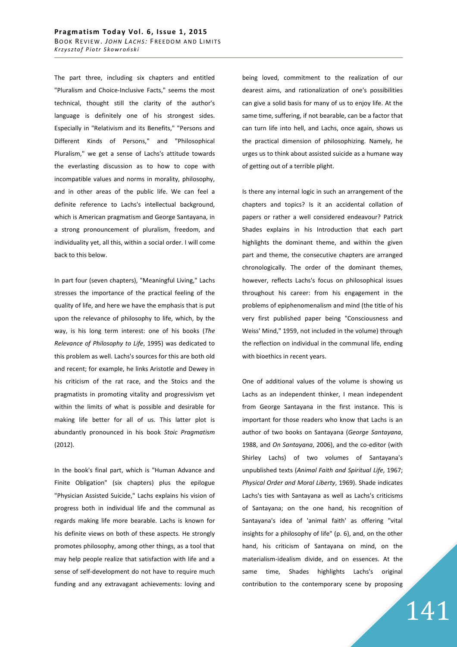The part three, including six chapters and entitled "Pluralism and Choice-Inclusive Facts," seems the most technical, thought still the clarity of the author's language is definitely one of his strongest sides. Especially in "Relativism and its Benefits," "Persons and Different Kinds of Persons," and "Philosophical Pluralism," we get a sense of Lachs's attitude towards the everlasting discussion as to how to cope with incompatible values and norms in morality, philosophy, and in other areas of the public life. We can feel a definite reference to Lachs's intellectual background, which is American pragmatism and George Santayana, in a strong pronouncement of pluralism, freedom, and individuality yet, all this, within a social order. I will come back to this below.

In part four (seven chapters), "Meaningful Living," Lachs stresses the importance of the practical feeling of the quality of life, and here we have the emphasis that is put upon the relevance of philosophy to life, which, by the way, is his long term interest: one of his books (*The Relevance of Philosophy to Life*, 1995) was dedicated to this problem as well. Lachs's sources for this are both old and recent; for example, he links Aristotle and Dewey in his criticism of the rat race, and the Stoics and the pragmatists in promoting vitality and progressivism yet within the limits of what is possible and desirable for making life better for all of us. This latter plot is abundantly pronounced in his book *Stoic Pragmatism* (2012).

In the book's final part, which is "Human Advance and Finite Obligation" (six chapters) plus the epilogue "Physician Assisted Suicide," Lachs explains his vision of progress both in individual life and the communal as regards making life more bearable. Lachs is known for his definite views on both of these aspects. He strongly promotes philosophy, among other things, as a tool that may help people realize that satisfaction with life and a sense of self-development do not have to require much funding and any extravagant achievements: loving and being loved, commitment to the realization of our dearest aims, and rationalization of one's possibilities can give a solid basis for many of us to enjoy life. At the same time, suffering, if not bearable, can be a factor that can turn life into hell, and Lachs, once again, shows us the practical dimension of philosophizing. Namely, he urges us to think about assisted suicide as a humane way of getting out of a terrible plight.

Is there any internal logic in such an arrangement of the chapters and topics? Is it an accidental collation of papers or rather a well considered endeavour? Patrick Shades explains in his Introduction that each part highlights the dominant theme, and within the given part and theme, the consecutive chapters are arranged chronologically. The order of the dominant themes, however, reflects Lachs's focus on philosophical issues throughout his career: from his engagement in the problems of epiphenomenalism and mind (the title of his very first published paper being "Consciousness and Weiss' Mind," 1959, not included in the volume) through the reflection on individual in the communal life, ending with bioethics in recent years.

One of additional values of the volume is showing us Lachs as an independent thinker, I mean independent from George Santayana in the first instance. This is important for those readers who know that Lachs is an author of two books on Santayana (*George Santayana*, 1988, and *On Santayana*, 2006), and the co-editor (with Shirley Lachs) of two volumes of Santayana's unpublished texts (*Animal Faith and Spiritual Life*, 1967; *Physical Order and Moral Liberty*, 1969). Shade indicates Lachs's ties with Santayana as well as Lachs's criticisms of Santayana; on the one hand, his recognition of Santayana's idea of 'animal faith' as offering "vital insights for a philosophy of life" (p. 6), and, on the other hand, his criticism of Santayana on mind, on the materialism-idealism divide, and on essences. At the same time, Shades highlights Lachs's original contribution to the contemporary scene by proposing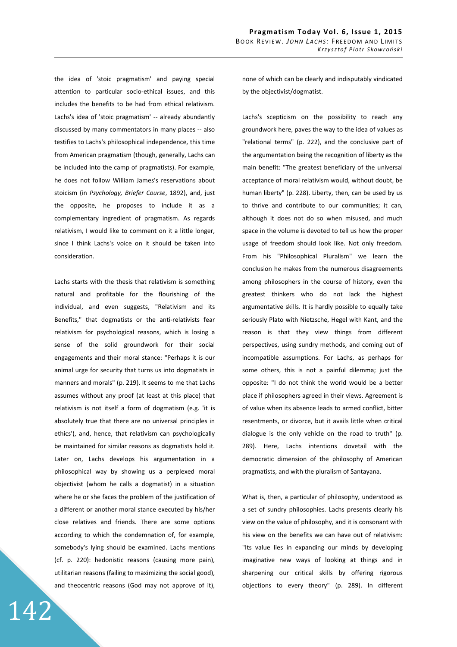the idea of 'stoic pragmatism' and paying special attention to particular socio-ethical issues, and this includes the benefits to be had from ethical relativism. Lachs's idea of 'stoic pragmatism' -- already abundantly discussed by many commentators in many places -- also testifies to Lachs's philosophical independence, this time from American pragmatism (though, generally, Lachs can be included into the camp of pragmatists). For example, he does not follow William James's reservations about stoicism (in *Psychology, Briefer Course*, 1892), and, just the opposite, he proposes to include it as a complementary ingredient of pragmatism. As regards relativism, I would like to comment on it a little longer, since I think Lachs's voice on it should be taken into consideration.

Lachs starts with the thesis that relativism is something natural and profitable for the flourishing of the individual, and even suggests, "Relativism and its Benefits," that dogmatists or the anti-relativists fear relativism for psychological reasons, which is losing a sense of the solid groundwork for their social engagements and their moral stance: "Perhaps it is our animal urge for security that turns us into dogmatists in manners and morals" (p. 219). It seems to me that Lachs assumes without any proof (at least at this place) that relativism is not itself a form of dogmatism (e.g. 'it is absolutely true that there are no universal principles in ethics'), and, hence, that relativism can psychologically be maintained for similar reasons as dogmatists hold it. Later on, Lachs develops his argumentation in a philosophical way by showing us a perplexed moral objectivist (whom he calls a dogmatist) in a situation where he or she faces the problem of the justification of a different or another moral stance executed by his/her close relatives and friends. There are some options according to which the condemnation of, for example, somebody's lying should be examined. Lachs mentions (cf. p. 220): hedonistic reasons (causing more pain), utilitarian reasons (failing to maximizing the social good), and theocentric reasons (God may not approve of it),

none of which can be clearly and indisputably vindicated by the objectivist/dogmatist.

Lachs's scepticism on the possibility to reach any groundwork here, paves the way to the idea of values as "relational terms" (p. 222), and the conclusive part of the argumentation being the recognition of liberty as the main benefit: "The greatest beneficiary of the universal acceptance of moral relativism would, without doubt, be human liberty" (p. 228). Liberty, then, can be used by us to thrive and contribute to our communities; it can, although it does not do so when misused, and much space in the volume is devoted to tell us how the proper usage of freedom should look like. Not only freedom. From his "Philosophical Pluralism" we learn the conclusion he makes from the numerous disagreements among philosophers in the course of history, even the greatest thinkers who do not lack the highest argumentative skills. It is hardly possible to equally take seriously Plato with Nietzsche, Hegel with Kant, and the reason is that they view things from different perspectives, using sundry methods, and coming out of incompatible assumptions. For Lachs, as perhaps for some others, this is not a painful dilemma; just the opposite: "I do not think the world would be a better place if philosophers agreed in their views. Agreement is of value when its absence leads to armed conflict, bitter resentments, or divorce, but it avails little when critical dialogue is the only vehicle on the road to truth" (p. 289). Here, Lachs intentions dovetail with the democratic dimension of the philosophy of American pragmatists, and with the pluralism of Santayana.

What is, then, a particular of philosophy, understood as a set of sundry philosophies. Lachs presents clearly his view on the value of philosophy, and it is consonant with his view on the benefits we can have out of relativism: "Its value lies in expanding our minds by developing imaginative new ways of looking at things and in sharpening our critical skills by offering rigorous objections to every theory" (p. 289). In different

142